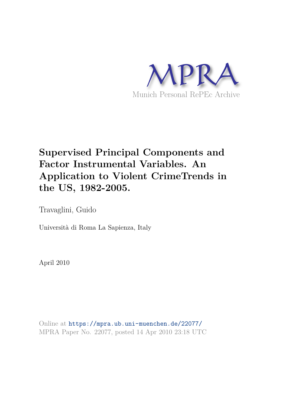

# **Supervised Principal Components and Factor Instrumental Variables. An Application to Violent CrimeTrends in the US, 1982-2005.**

Travaglini, Guido

Università di Roma La Sapienza, Italy

April 2010

Online at https://mpra.ub.uni-muenchen.de/22077/ MPRA Paper No. 22077, posted 14 Apr 2010 23:18 UTC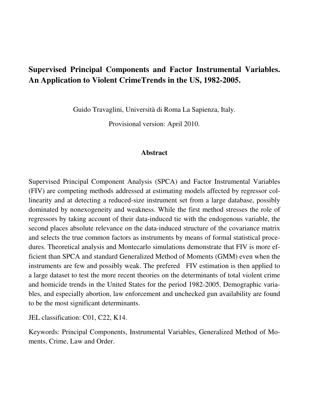# **Supervised Principal Components and Factor Instrumental Variables. An Application to Violent CrimeTrends in the US, 1982-2005.**

Guido Travaglini, Università di Roma La Sapienza, Italy.

Provisional version: April 2010.

# **Abstract**

Supervised Principal Component Analysis (SPCA) and Factor Instrumental Variables (FIV) are competing methods addressed at estimating models affected by regressor collinearity and at detecting a reduced-size instrument set from a large database, possibly dominated by nonexogeneity and weakness. While the first method stresses the role of regressors by taking account of their data-induced tie with the endogenous variable, the second places absolute relevance on the data-induced structure of the covariance matrix and selects the true common factors as instruments by means of formal statistical procedures. Theoretical analysis and Montecarlo simulations demonstrate that FIV is more efficient than SPCA and standard Generalized Method of Moments (GMM) even when the instruments are few and possibly weak. The prefered FIV estimation is then applied to a large dataset to test the more recent theories on the determinants of total violent crime and homicide trends in the United States for the period 1982-2005. Demographic variables, and especially abortion, law enforcement and unchecked gun availability are found to be the most significant determinants.

JEL classification: C01, C22, K14.

Keywords: Principal Components, Instrumental Variables, Generalized Method of Moments, Crime, Law and Order.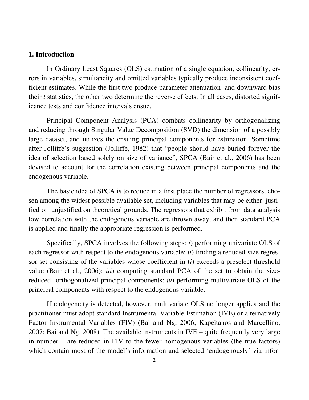# **1. Introduction**

 In Ordinary Least Squares (OLS) estimation of a single equation, collinearity, errors in variables, simultaneity and omitted variables typically produce inconsistent coefficient estimates. While the first two produce parameter attenuation and downward bias their *t* statistics, the other two determine the reverse effects. In all cases, distorted significance tests and confidence intervals ensue.

 Principal Component Analysis (PCA) combats collinearity by orthogonalizing and reducing through Singular Value Decomposition (SVD) the dimension of a possibly large dataset, and utilizes the ensuing principal components for estimation. Sometime after Jolliffe's suggestion (Jolliffe, 1982) that "people should have buried forever the idea of selection based solely on size of variance", SPCA (Bair et al., 2006) has been devised to account for the correlation existing between principal components and the endogenous variable.

 The basic idea of SPCA is to reduce in a first place the number of regressors, chosen among the widest possible available set, including variables that may be either justified or unjustified on theoretical grounds. The regressors that exhibit from data analysis low correlation with the endogenous variable are thrown away, and then standard PCA is applied and finally the appropriate regression is performed.

Specifically, SPCA involves the following steps: *i*) performing univariate OLS of each regressor with respect to the endogenous variable; *ii*) finding a reduced-size regressor set consisting of the variables whose coefficient in (*i*) exceeds a preselect threshold value (Bair et al., 2006); *iii*) computing standard PCA of the set to obtain the sizereduced orthogonalized principal components; *iv*) performing multivariate OLS of the principal components with respect to the endogenous variable.

If endogeneity is detected, however, multivariate OLS no longer applies and the practitioner must adopt standard Instrumental Variable Estimation (IVE) or alternatively Factor Instrumental Variables (FIV) (Bai and Ng, 2006; Kapeitanos and Marcellino, 2007; Bai and Ng, 2008). The available instruments in IVE – quite frequently very large in number – are reduced in FIV to the fewer homogenous variables (the true factors) which contain most of the model's information and selected 'endogenously' via infor-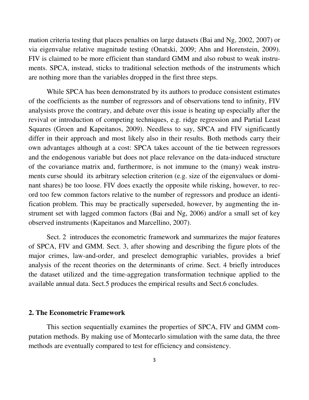mation criteria testing that places penalties on large datasets (Bai and Ng, 2002, 2007) or via eigenvalue relative magnitude testing (Onatski, 2009; Ahn and Horenstein, 2009). FIV is claimed to be more efficient than standard GMM and also robust to weak instruments. SPCA, instead, sticks to traditional selection methods of the instruments which are nothing more than the variables dropped in the first three steps.

While SPCA has been demonstrated by its authors to produce consistent estimates of the coefficients as the number of regressors and of observations tend to infinity, FIV analysists prove the contrary, and debate over this issue is heating up especially after the revival or introduction of competing techniques, e.g. ridge regression and Partial Least Squares (Groen and Kapeitanos, 2009). Needless to say, SPCA and FIV significantly differ in their approach and most likely also in their results. Both methods carry their own advantages although at a cost: SPCA takes account of the tie between regressors and the endogenous variable but does not place relevance on the data-induced structure of the covariance matrix and, furthermore, is not immune to the (many) weak instruments curse should its arbitrary selection criterion (e.g. size of the eigenvalues or dominant shares) be too loose. FIV does exactly the opposite while risking, however, to record too few common factors relative to the number of regressors and produce an identification problem. This may be practically superseded, however, by augmenting the instrument set with lagged common factors (Bai and Ng, 2006) and/or a small set of key observed instruments (Kapeitanos and Marcellino, 2007).

 Sect. 2 introduces the econometric framework and summarizes the major features of SPCA, FIV and GMM. Sect. 3, after showing and describing the figure plots of the major crimes, law-and-order, and preselect demographic variables, provides a brief analysis of the recent theories on the determinants of crime. Sect. 4 briefly introduces the dataset utilized and the time-aggregation transformation technique applied to the available annual data. Sect.5 produces the empirical results and Sect.6 concludes.

# **2. The Econometric Framework**

 This section sequentially examines the properties of SPCA, FIV and GMM computation methods. By making use of Montecarlo simulation with the same data, the three methods are eventually compared to test for efficiency and consistency.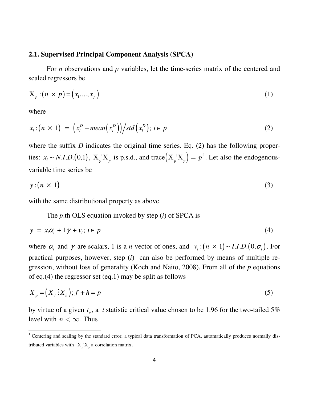# **2.1. Supervised Principal Component Analysis (SPCA)**

For *n* observations and *p* variables, let the time-series matrix of the centered and scaled regressors be

$$
X_p : (n \times p) = (x_1, ..., x_p)
$$
 (1)

where

 $\overline{a}$ 

$$
x_i:(n \times 1) = \left(x_i^D - \text{mean}(x_i^D)\right) / \text{std}(x_i^D); i \in p \tag{2}
$$

where the suffix *D* indicates the original time series. Eq. (2) has the following properties:  $x_i \sim N.I.D.$  (0,1),  $X_p'X_p$  is p.s.d., and trace  $(X_p'X_p) = p^1$ . Let also the endogenousvariable time series be

$$
y:(n \times 1) \tag{3}
$$

with the same distributional property as above.

The *p*.th OLS equation invoked by step (*i*) of SPCA is

$$
y = x_i \alpha_i + 1 \gamma + v_i; \ i \in p \tag{4}
$$

where  $\alpha_i$  and  $\gamma$  are scalars, 1 is a *n*-vector of ones, and  $v_i : (n \times 1) \sim I.I.D. (0, \sigma_i)$ . For practical purposes, however, step (*i*) can also be performed by means of multiple regression, without loss of generality (Koch and Naito, 2008). From all of the *p* equations of eq.(4) the regressor set (eq.1) may be split as follows

$$
X_p = (X_f \colon X_h); f + h = p \tag{5}
$$

by virtue of a given  $t_c$ , a *t* statistic critical value chosen to be 1.96 for the two-tailed 5% level with  $n < \infty$ . Thus

<sup>&</sup>lt;sup>1</sup> Centering and scaling by the standard error, a typical data transformation of PCA, automatically produces normally distributed variables with  $X_p'X_p$  a correlation matrix.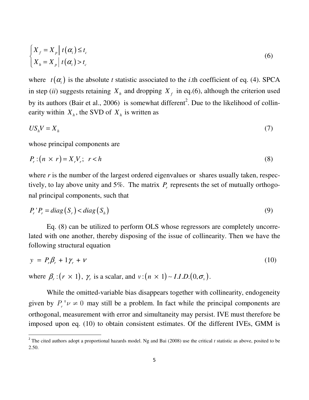$$
\begin{cases} X_f = X_p \mid t(\alpha_i) \le t_c \\ X_h = X_p \mid t(\alpha_i) > t_c \end{cases}
$$
\n(6)

where  $t(\alpha_i)$  is the absolute *t* statistic associated to the *i*.th coefficient of eq. (4). SPCA in step (*ii*) suggests retaining  $X_h$  and dropping  $X_f$  in eq.(6), although the criterion used by its authors (Bair et al., 2006) is somewhat different<sup>2</sup>. Due to the likelihood of collinearity within  $X_h$ , the SVD of  $X_h$  is written as

$$
U S_h V = X_h \tag{7}
$$

whose principal components are

l

$$
P_r: (n \times r) = X_r V_r; \quad r < h \tag{8}
$$

where *r* is the number of the largest ordered eigenvalues or shares usually taken, respectively, to lay above unity and 5%. The matrix  $P_r$  represents the set of mutually orthogonal principal components, such that

$$
P_r P_r = diag(S_r) < diag(S_h) \tag{9}
$$

 Eq. (8) can be utilized to perform OLS whose regressors are completely uncorrelated with one another, thereby disposing of the issue of collinearity. Then we have the following structural equation

$$
y = P_r \beta_r + 1 \gamma_r + \nu \tag{10}
$$

where  $\beta_r$  :  $(r \times 1)$ ,  $\gamma_r$  is a scalar, and  $v$  :  $(n \times 1)$  ~ *I.I.D.* $(0, \sigma_v)$ .

 While the omitted-variable bias disappears together with collinearity, endogeneity given by  $P_r' \nu \neq 0$  may still be a problem. In fact while the principal components are orthogonal, measurement with error and simultaneity may persist. IVE must therefore be imposed upon eq. (10) to obtain consistent estimates. Of the different IVEs, GMM is

<sup>&</sup>lt;sup>2</sup> The cited authors adopt a proportional hazards model. Ng and Bai (2008) use the critical  $t$  statistic as above, posited to be 2.50.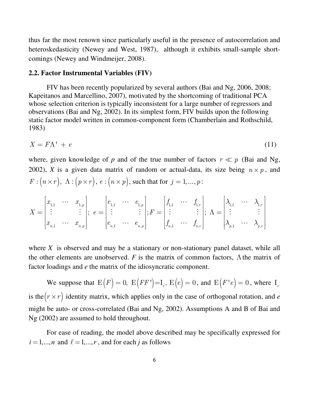thus far the most renown since particularly useful in the presence of autocorrelation and heteroskedasticity (Newey and West, 1987), although it exhibits small-sample shortcomings (Newey and Windmeijer, 2008).

# **2.2. Factor Instrumental Variables (FIV)**

 FIV has been recently popularized by several authors (Bai and Ng, 2006, 2008; Kapeitanos and Marcellino, 2007), motivated by the shortcoming of traditional PCA whose selection criterion is typically inconsistent for a large number of regressors and observations (Bai and Ng, 2002). In its simplest form, FIV builds upon the following static factor model written in common-component form (Chamberlain and Rothschild, 1983)

$$
X = F\Lambda^+ + e \tag{11}
$$

where, given knowledge of  $p$  and of the true number of factors  $r \ll p$  (Bai and Ng, 2002), *X* is a given data matrix of random or actual-data, its size being  $n \times p$ , and  $F: (n \times r), \ \Lambda: (p \times r), \ e: (n \times p), \text{ such that for } j = 1, ..., p:$ 

$$
X = \begin{bmatrix} x_{1,1} & \cdots & x_{1,p} \\ \vdots & & \vdots \\ x_{n,1} & \cdots & x_{n,p} \end{bmatrix}; e = \begin{bmatrix} e_{1,1} & \cdots & e_{1,p} \\ \vdots & & \vdots \\ e_{n,1} & \cdots & e_{n,p} \end{bmatrix}; F = \begin{bmatrix} f_{1,1} & \cdots & f_{1,r} \\ \vdots & & \vdots \\ f_{n,1} & \cdots & f_{n,r} \end{bmatrix}; \Lambda = \begin{bmatrix} \lambda_{1,1} & \cdots & \lambda_{1,r} \\ \vdots & & \vdots \\ \lambda_{p,1} & \cdots & \lambda_{p,r} \end{bmatrix}
$$

where *X* is observed and may be a stationary or non-stationary panel dataset, while all the other elements are unobserved.  $F$  is the matrix of common factors,  $\Lambda$  the matrix of factor loadings and *e* the matrix of the idiosyncratic component.

We suppose that  $E(F) = 0$ ,  $E(FF') = I_r$ ,  $E(e) = 0$ , and  $E(F'e) = 0$ , where  $I_r$ is the  $(r \times r)$  identity matrix, which applies only in the case of orthogonal rotation, and *e* might be auto- or cross-correlated (Bai and Ng, 2002). Assumptions A and B of Bai and Ng (2002) are assumed to hold throughout.

 For ease of reading, the model above described may be specifically expressed for  $i = 1,...,n$  and  $\ell = 1,...,r$ , and for each *j* as follows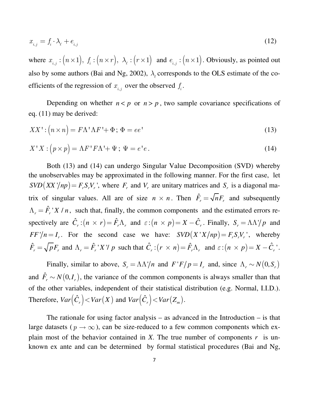$$
x_{i,j} = f_i \cdot \lambda_\ell + e_{i,j} \tag{12}
$$

where  $x_{i,j}: (n \times 1)$ ,  $f_i: (n \times r)$ ,  $\lambda_i: (r \times 1)$  and  $e_{i,j}: (n \times 1)$ . Obviously, as pointed out also by some authors (Bai and Ng, 2002),  $\lambda_{\ell}$  corresponds to the OLS estimate of the coefficients of the regression of  $x_{i,j}$  over the observed  $f_i$ .

Depending on whether  $n < p$  or  $n > p$ , two sample covariance specifications of eq. (11) may be derived:

$$
XX': \left(n \times n\right) = F\Lambda' \Lambda F' + \Phi; \ \Phi = ee'
$$
\n<sup>(13)</sup>

$$
X'X : (p \times p) = \Lambda F'F\Lambda' + \Psi; \ \Psi = e'e.
$$
\n(14)

 Both (13) and (14) can undergo Singular Value Decomposition (SVD) whereby the unobservables may be approximated in the following manner. For the first case, let  $SVD(XX'/np) = F_rS_rV_r$ , where  $F_r$  and  $V_r$  are unitary matrices and  $S_r$  is a diagonal matrix of singular values. All are of size  $n \times n$ . Then  $\hat{F}_r = \sqrt{n}F_r$  and subsequently  $\Lambda_r = \hat{F}_r$  *X | n*, such that, finally, the common components and the estimated errors respectively are  $\hat{C}_r$ :  $(n \times r) = \hat{F}_r \Lambda_r$  and  $\varepsilon$ :  $(n \times p) = X - \hat{C}_r$ . Finally,  $S_r = \Lambda \Lambda'/p$  and  $FF'/n = I_r$ . For the second case we have:  $SVD(X'X/np) = F_rS_rV_r$ , whereby  $\hat{F}_r = \sqrt{p} F_r$  and  $\Lambda_r = \hat{F}_r X' y \cdot p$  such that  $\hat{C}_r : (r \times n) = \hat{F}_r \Lambda_r$  and  $\varepsilon : (n \times p) = X - \hat{C}_r$ '.

Finally, similar to above,  $S_r = \Lambda \Lambda'/n$  and  $F'F/p = I_r$  and, since  $\Lambda_r \sim N(0, S_r)$ and  $\hat{F}_r \sim N(0, I_r)$ , the variance of the common components is always smaller than that of the other variables, independent of their statistical distribution (e.g. Normal, I.I.D.). Therefore,  $Var(\hat{C}_r) < Var(X)$  and  $Var(\hat{C}_r) < Var(Z_m)$ .

The rationale for using factor analysis – as advanced in the Introduction – is that large datasets ( $p \rightarrow \infty$ ), can be size-reduced to a few common components which explain most of the behavior contained in *X*. The true number of components  $r$  is unknown ex ante and can be determined by formal statistical procedures (Bai and Ng,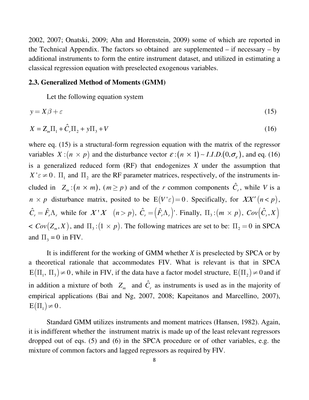2002, 2007; Onatski, 2009; Ahn and Horenstein, 2009) some of which are reported in the Technical Appendix. The factors so obtained are supplemented – if necessary – by additional instruments to form the entire instrument dataset, and utilized in estimating a classical regression equation with preselected exogenous variables.

#### **2.3. Generalized Method of Moments (GMM)**

Let the following equation system

$$
y = X\beta + \varepsilon \tag{15}
$$

$$
X = Z_m \Pi_1 + \hat{C}_r \Pi_2 + y \Pi_3 + V \tag{16}
$$

where eq. (15) is a structural-form regression equation with the matrix of the regressor variables  $X:(n \times p)$  and the disturbance vector  $\varepsilon:(n \times 1)$  – *I.I.D.*(0, $\sigma_{\varepsilon}$ ), and eq. (16) is a generalized reduced form (RF) that endogenizes *X* under the assumption that  $X' \in \neq 0$ .  $\Pi_1$  and  $\Pi_2$  are the RF parameter matrices, respectively, of the instruments included in  $Z_m$ :  $(n \times m)$ ,  $(m \ge p)$  and of the *r* common components  $\hat{C}_r$ , while *V* is a *n*  $\times$  *p* disturbance matrix, posited to be  $E(V \epsilon) = 0$ . Specifically, for XX'  $(n < p)$ ,  $\hat{C}_r = \hat{F}_r \Lambda_r$ , while for  $X'X$   $(n > p)$ ,  $\hat{C}_r = (\hat{F}_r \Lambda_r)'$ . Finally,  $\Pi_3:(m \times p)$ ,  $Cov(\hat{C}_r, X)$  $<$  *Cov*( $Z_m$ ,  $X$ ), and  $\Pi$ <sub>3</sub>:(1  $\times$   $p$ ). The following matrices are set to be:  $\Pi$ <sub>2</sub> = 0 in SPCA and  $\Pi_3 = 0$  in FIV.

 It is indifferent for the working of GMM whether *X* is preselected by SPCA or by a theoretical rationale that accommodates FIV. What is relevant is that in SPCA  $E(\Pi_1, \Pi_3) \neq 0$ , while in FIV, if the data have a factor model structure,  $E(\Pi_2) \neq 0$  and if in addition a mixture of both  $Z_m$  and  $\hat{C}_r$  as instruments is used as in the majority of empirical applications (Bai and Ng, 2007, 2008; Kapeitanos and Marcellino, 2007),  $E(\Pi_1)\neq 0$ .

 Standard GMM utilizes instruments and moment matrices (Hansen, 1982). Again, it is indifferent whether the instrument matrix is made up of the least relevant regressors dropped out of eqs. (5) and (6) in the SPCA procedure or of other variables, e.g. the mixture of common factors and lagged regressors as required by FIV.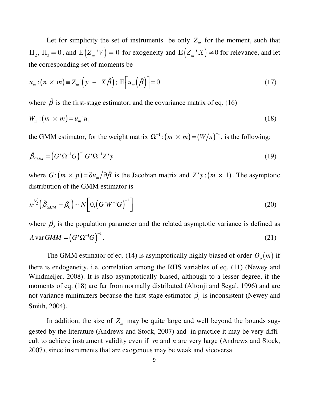Let for simplicity the set of instruments be only  $Z_m$  for the moment, such that  $\Pi_2$ ,  $\Pi_3 = 0$ , and  $E(Z_m|V) = 0$  for exogeneity and  $E(Z_m|X) \neq 0$  for relevance, and let the corresponding set of moments be

$$
u_m : (n \times m) \equiv Z_m \left( y - X \hat{\beta} \right); \, \mathcal{E}\left[ u_m \left( \hat{\beta} \right) \right] = 0 \tag{17}
$$

where  $\hat{\beta}$  is the first-stage estimator, and the covariance matrix of eq. (16)

$$
W_m : (m \times m) = u_m' u_m \tag{18}
$$

the GMM estimator, for the weight matrix  $\Omega^{-1}$ :  $(m \times m) = (W/n)^{-1}$ , is the following:

$$
\hat{\beta}_{GMM} = \left(G^{\dagger} \Omega^{-1} G\right)^{-1} G^{\dagger} \Omega^{-1} Z^{\dagger} y \tag{19}
$$

where  $G: (m \times p) = \partial u_m / \partial \hat{\beta}$  is the Jacobian matrix and  $Z' y : (m \times 1)$ . The asymptotic distribution of the GMM estimator is

$$
n^{\frac{1}{2}}\left(\hat{\beta}_{GMM} - \beta_0\right) \sim N\left[0, \left(G'W^{-1}G\right)^{-1}\right]
$$
\n(20)

where  $\beta_0$  is the population parameter and the related asymptotic variance is defined as  $A \text{var } GMM = (G' \Omega^{-1} G)^{-1}.$  (21)

The GMM estimator of eq. (14) is asymptotically highly biased of order  $O_p(m)$  if there is endogeneity, i.e. correlation among the RHS variables of eq. (11) (Newey and Windmeijer, 2008). It is also asymptotically biased, although to a lesser degree, if the moments of eq. (18) are far from normally distributed (Altonji and Segal, 1996) and are not variance minimizers because the first-stage estimator  $\beta_r$  is inconsistent (Newey and Smith, 2004).

In addition, the size of  $Z_m$  may be quite large and well beyond the bounds suggested by the literature (Andrews and Stock, 2007) and in practice it may be very difficult to achieve instrument validity even if *m* and *n* are very large (Andrews and Stock, 2007), since instruments that are exogenous may be weak and viceversa.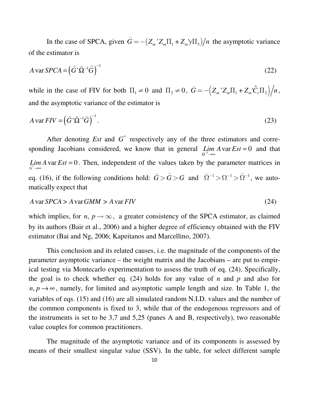In the case of SPCA, given  $G = -\left(Z_m \, Z_m \Pi_1 + Z_m \, y \Pi_3\right)/n$  $\overline{a}$  the asymptotic variance of the estimator is

$$
A \text{var } SPCA = \left(\hat{G}^1 \hat{\Omega}^{-1} \hat{G}\right)^{-1}
$$
 (22)

while in the case of FIV for both  $\Pi_1 \neq 0$  and  $\Pi_2 \neq 0$ ,  $\breve{G} = -\left(Z_m Z_m \Pi_1 + Z_m' \hat{C}_r \Pi_2\right)/n$  $\overline{\phantom{0}}$ , and the asymptotic variance of the estimator is

$$
A \text{var} FIV = \left( \breve{G}^{\dagger} \breve{\Omega}^{-1} \breve{G} \right)^{-1} . \tag{23}
$$

After denoting *Est* and  $G^*$  respectively any of the three estimators and corresponding Jacobians considered, we know that in general  $\lim_{\Omega^{-1}\to\infty} A$  var  $Est = 0$  and that *Lim A* var *Est* = 0. Then, independent of the values taken by the parameter matrices in  $G^* \rightarrow \infty$ eq. (16), if the following conditions hold:  $G > G > G$  $\sim$   $\sim$ and  $\widetilde{\Omega}^{-1} > \Omega^{-1} > \widehat{\Omega}^{-1}$  $\sim$   $\sim$   $\sim$   $\sim$ , we automatically expect that

$$
A \text{var } SPCA > A \text{var } GMM > A \text{var } FIV
$$
\n
$$
(24)
$$

which implies, for *n*,  $p \rightarrow \infty$ , a greater consistency of the SPCA estimator, as claimed by its authors (Bair et al., 2006) and a higher degree of efficiency obtained with the FIV estimator (Bai and Ng, 2006; Kapeitanos and Marcellino, 2007).

 This conclusion and its related causes, i.e. the magnitude of the components of the parameter asymptotic variance – the weight matrix and the Jacobians – are put to empirical testing via Montecarlo experimentation to assess the truth of eq. (24). Specifically, the goal is to check whether eq. (24) holds for any value of *n* and *p* and also for  $n, p \rightarrow \infty$ , namely, for limited and asymptotic sample length and size. In Table 1, the variables of eqs. (15) and (16) are all simulated random N.I.D. values and the number of the common components is fixed to 3, while that of the endogenous regressors and of the instruments is set to be 3,7 and 5,25 (panes A and B, respectively), two reasonable value couples for common practitioners.

 The magnitude of the asymptotic variance and of its components is assessed by means of their smallest singular value (SSV). In the table, for select different sample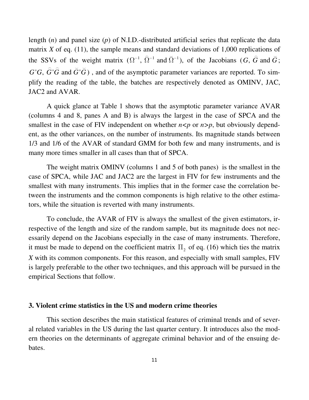length (*n*) and panel size (*p*) of N.I.D.-distributed artificial series that replicate the data matrix  $X$  of eq. (11), the sample means and standard deviations of 1,000 replications of the SSVs of the weight matrix  $(\Omega^{-1}, \hat{\Omega}^{-1}$  and  $\tilde{\Omega}^{-1}$  $\sim$   $\sim$ ), of the Jacobians  $(G, G \text{ and } G)$  $\sim$ ;  $G'G$ ,  $G'G$  and  $G'G$  $\sim$   $\sim$   $\sim$   $\sim$ ) , and of the asymptotic parameter variances are reported. To simplify the reading of the table, the batches are respectively denoted as OMINV, JAC, JAC2 and AVAR.

 A quick glance at Table 1 shows that the asymptotic parameter variance AVAR (columns 4 and 8, panes A and B) is always the largest in the case of SPCA and the smallest in the case of FIV independent on whether  $n < p$  or  $n > p$ , but obviously dependent, as the other variances, on the number of instruments. Its magnitude stands between 1/3 and 1/6 of the AVAR of standard GMM for both few and many instruments, and is many more times smaller in all cases than that of SPCA.

 The weight matrix OMINV (columns 1 and 5 of both panes) is the smallest in the case of SPCA, while JAC and JAC2 are the largest in FIV for few instruments and the smallest with many instruments. This implies that in the former case the correlation between the instruments and the common components is high relative to the other estimators, while the situation is reverted with many instruments.

 To conclude, the AVAR of FIV is always the smallest of the given estimators, irrespective of the length and size of the random sample, but its magnitude does not necessarily depend on the Jacobians especially in the case of many instruments. Therefore, it must be made to depend on the coefficient matrix  $\Pi_2$  of eq. (16) which ties the matrix *X* with its common components. For this reason, and especially with small samples, FIV is largely preferable to the other two techniques, and this approach will be pursued in the empirical Sections that follow.

#### **3. Violent crime statistics in the US and modern crime theories**

 This section describes the main statistical features of criminal trends and of several related variables in the US during the last quarter century. It introduces also the modern theories on the determinants of aggregate criminal behavior and of the ensuing debates.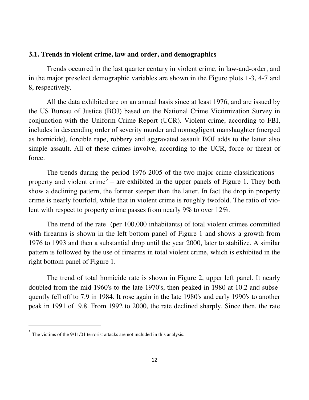#### **3.1. Trends in violent crime, law and order, and demographics**

 Trends occurred in the last quarter century in violent crime, in law-and-order, and in the major preselect demographic variables are shown in the Figure plots 1-3, 4-7 and 8, respectively.

 All the data exhibited are on an annual basis since at least 1976, and are issued by the US Bureau of Justice (BOJ) based on the National Crime Victimization Survey in conjunction with the Uniform Crime Report (UCR). Violent crime, according to FBI, includes in descending order of severity murder and nonnegligent manslaughter (merged as homicide), forcible rape, robbery and aggravated assault BOJ adds to the latter also simple assault. All of these crimes involve, according to the UCR, force or threat of force.

 The trends during the period 1976-2005 of the two major crime classifications – property and violent crime<sup>3</sup> – are exhibited in the upper panels of Figure 1. They both show a declining pattern, the former steeper than the latter. In fact the drop in property crime is nearly fourfold, while that in violent crime is roughly twofold. The ratio of violent with respect to property crime passes from nearly 9% to over 12%.

 The trend of the rate (per 100,000 inhabitants) of total violent crimes committed with firearms is shown in the left bottom panel of Figure 1 and shows a growth from 1976 to 1993 and then a substantial drop until the year 2000, later to stabilize. A similar pattern is followed by the use of firearms in total violent crime, which is exhibited in the right bottom panel of Figure 1.

 The trend of total homicide rate is shown in Figure 2, upper left panel. It nearly doubled from the mid 1960's to the late 1970's, then peaked in 1980 at 10.2 and subsequently fell off to 7.9 in 1984. It rose again in the late 1980's and early 1990's to another peak in 1991 of 9.8. From 1992 to 2000, the rate declined sharply. Since then, the rate

 $\overline{a}$ 

 $3$  The victims of the 9/11/01 terrorist attacks are not included in this analysis.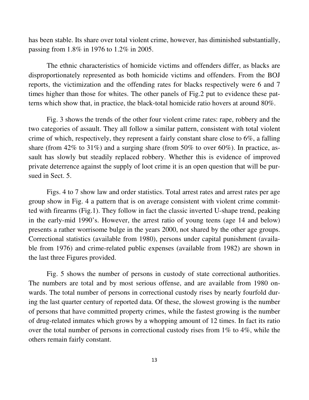has been stable. Its share over total violent crime, however, has diminished substantially, passing from 1.8% in 1976 to 1.2% in 2005.

 The ethnic characteristics of homicide victims and offenders differ, as blacks are disproportionately represented as both homicide victims and offenders. From the BOJ reports, the victimization and the offending rates for blacks respectively were 6 and 7 times higher than those for whites. The other panels of Fig.2 put to evidence these patterns which show that, in practice, the black-total homicide ratio hovers at around 80%.

 Fig. 3 shows the trends of the other four violent crime rates: rape, robbery and the two categories of assault. They all follow a similar pattern, consistent with total violent crime of which, respectively, they represent a fairly constant share close to 6%, a falling share (from  $42\%$  to  $31\%$ ) and a surging share (from  $50\%$  to over  $60\%$ ). In practice, assault has slowly but steadily replaced robbery. Whether this is evidence of improved private deterrence against the supply of loot crime it is an open question that will be pursued in Sect. 5.

 Figs. 4 to 7 show law and order statistics. Total arrest rates and arrest rates per age group show in Fig. 4 a pattern that is on average consistent with violent crime committed with firearms (Fig.1). They follow in fact the classic inverted U-shape trend, peaking in the early-mid 1990's. However, the arrest ratio of young teens (age 14 and below) presents a rather worrisome bulge in the years 2000, not shared by the other age groups. Correctional statistics (available from 1980), persons under capital punishment (available from 1976) and crime-related public expenses (available from 1982) are shown in the last three Figures provided.

 Fig. 5 shows the number of persons in custody of state correctional authorities. The numbers are total and by most serious offense, and are available from 1980 onwards. The total number of persons in correctional custody rises by nearly fourfold during the last quarter century of reported data. Of these, the slowest growing is the number of persons that have committed property crimes, while the fastest growing is the number of drug-related inmates which grows by a whopping amount of 12 times. In fact its ratio over the total number of persons in correctional custody rises from 1% to 4%, while the others remain fairly constant.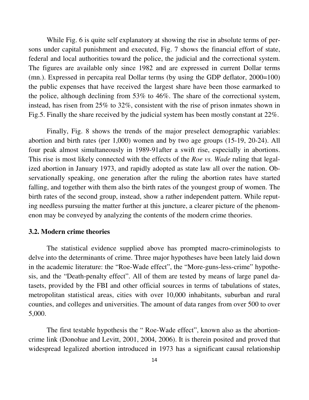While Fig. 6 is quite self explanatory at showing the rise in absolute terms of persons under capital punishment and executed, Fig. 7 shows the financial effort of state, federal and local authorities toward the police, the judicial and the correctional system. The figures are available only since 1982 and are expressed in current Dollar terms (mn.). Expressed in percapita real Dollar terms (by using the GDP deflator, 2000=100) the public expenses that have received the largest share have been those earmarked to the police, although declining from 53% to 46%. The share of the correctional system, instead, has risen from 25% to 32%, consistent with the rise of prison inmates shown in Fig.5. Finally the share received by the judicial system has been mostly constant at 22%.

 Finally, Fig. 8 shows the trends of the major preselect demographic variables: abortion and birth rates (per 1,000) women and by two age groups (15-19, 20-24). All four peak almost simultaneously in 1989-91after a swift rise, especially in abortions. This rise is most likely connected with the effects of the *Roe vs. Wade* ruling that legalized abortion in January 1973, and rapidly adopted as state law all over the nation. Observationally speaking, one generation after the ruling the abortion rates have started falling, and together with them also the birth rates of the youngest group of women. The birth rates of the second group, instead, show a rather independent pattern. While reputing needless pursuing the matter further at this juncture, a clearer picture of the phenomenon may be conveyed by analyzing the contents of the modern crime theories.

# **3.2. Modern crime theories**

The statistical evidence supplied above has prompted macro-criminologists to delve into the determinants of crime. Three major hypotheses have been lately laid down in the academic literature: the "Roe-Wade effect", the "More-guns-less-crime" hypothesis, and the "Death-penalty effect". All of them are tested by means of large panel datasets, provided by the FBI and other official sources in terms of tabulations of states, metropolitan statistical areas, cities with over 10,000 inhabitants, suburban and rural counties, and colleges and universities. The amount of data ranges from over 500 to over 5,000.

 The first testable hypothesis the " Roe-Wade effect", known also as the abortioncrime link (Donohue and Levitt, 2001, 2004, 2006). It is therein posited and proved that widespread legalized abortion introduced in 1973 has a significant causal relationship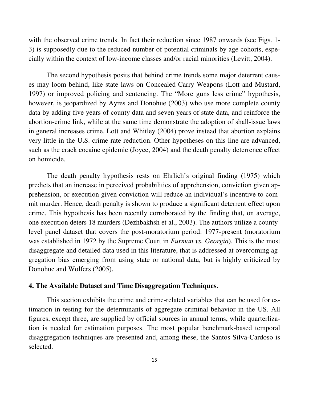with the observed crime trends. In fact their reduction since 1987 onwards (see Figs. 1- 3) is supposedly due to the reduced number of potential criminals by age cohorts, especially within the context of low-income classes and/or racial minorities (Levitt, 2004).

 The second hypothesis posits that behind crime trends some major deterrent causes may loom behind, like state laws on Concealed-Carry Weapons (Lott and Mustard, 1997) or improved policing and sentencing. The "More guns less crime" hypothesis, however, is jeopardized by Ayres and Donohue (2003) who use more complete county data by adding five years of county data and seven years of state data, and reinforce the abortion-crime link, while at the same time demonstrate the adoption of shall-issue laws in general increases crime. Lott and Whitley (2004) prove instead that abortion explains very little in the U.S. crime rate reduction. Other hypotheses on this line are advanced, such as the crack cocaine epidemic (Joyce, 2004) and the death penalty deterrence effect on homicide.

 The death penalty hypothesis rests on Ehrlich's original finding (1975) which predicts that an increase in perceived probabilities of apprehension, conviction given apprehension, or execution given conviction will reduce an individual's incentive to commit murder. Hence, death penalty is shown to produce a significant deterrent effect upon crime. This hypothesis has been recently corroborated by the finding that, on average, one execution deters 18 murders (Dezhbakhsh et al., 2003). The authors utilize a countylevel panel dataset that covers the post-moratorium period: 1977-present (moratorium was established in 1972 by the Supreme Court in *Furman vs. Georgia*). This is the most disaggregate and detailed data used in this literature, that is addressed at overcoming aggregation bias emerging from using state or national data, but is highly criticized by Donohue and Wolfers (2005).

# **4. The Available Dataset and Time Disaggregation Techniques.**

 This section exhibits the crime and crime-related variables that can be used for estimation in testing for the determinants of aggregate criminal behavior in the US. All figures, except three, are supplied by official sources in annual terms, while quarterlization is needed for estimation purposes. The most popular benchmark-based temporal disaggregation techniques are presented and, among these, the Santos Silva-Cardoso is selected.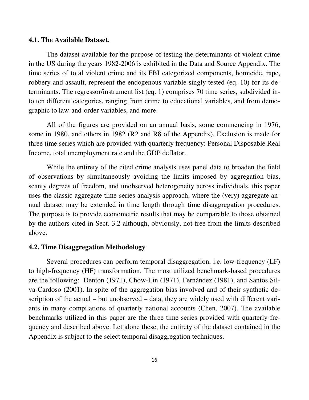#### **4.1. The Available Dataset.**

 The dataset available for the purpose of testing the determinants of violent crime in the US during the years 1982-2006 is exhibited in the Data and Source Appendix. The time series of total violent crime and its FBI categorized components, homicide, rape, robbery and assault, represent the endogenous variable singly tested (eq. 10) for its determinants. The regressor/instrument list (eq. 1) comprises 70 time series, subdivided into ten different categories, ranging from crime to educational variables, and from demographic to law-and-order variables, and more.

 All of the figures are provided on an annual basis, some commencing in 1976, some in 1980, and others in 1982 (R2 and R8 of the Appendix). Exclusion is made for three time series which are provided with quarterly frequency: Personal Disposable Real Income, total unemployment rate and the GDP deflator.

 While the entirety of the cited crime analysts uses panel data to broaden the field of observations by simultaneously avoiding the limits imposed by aggregation bias, scanty degrees of freedom, and unobserved heterogeneity across individuals, this paper uses the classic aggregate time-series analysis approach, where the (very) aggregate annual dataset may be extended in time length through time disaggregation procedures. The purpose is to provide econometric results that may be comparable to those obtained by the authors cited in Sect. 3.2 although, obviously, not free from the limits described above.

#### **4.2. Time Disaggregation Methodology**

 Several procedures can perform temporal disaggregation, i.e. low-frequency (LF) to high-frequency (HF) transformation. The most utilized benchmark-based procedures are the following: Denton (1971), Chow-Lin (1971), Fernández (1981), and Santos Silva-Cardoso (2001). In spite of the aggregation bias involved and of their synthetic description of the actual – but unobserved – data, they are widely used with different variants in many compilations of quarterly national accounts (Chen, 2007). The available benchmarks utilized in this paper are the three time series provided with quarterly frequency and described above. Let alone these, the entirety of the dataset contained in the Appendix is subject to the select temporal disaggregation techniques.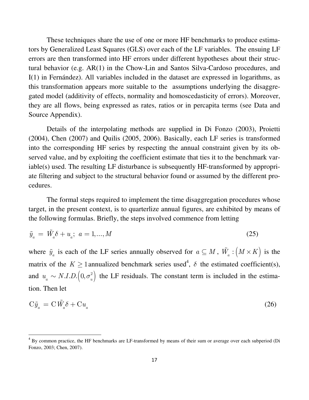These techniques share the use of one or more HF benchmarks to produce estimators by Generalized Least Squares (GLS) over each of the LF variables. The ensuing LF errors are then transformed into HF errors under different hypotheses about their structural behavior (e.g. AR(1) in the Chow-Lin and Santos Silva-Cardoso procedures, and I(1) in Fernández). All variables included in the dataset are expressed in logarithms, as this transformation appears more suitable to the assumptions underlying the disaggregated model (additivity of effects, normality and homoscedasticity of errors). Moreover, they are all flows, being expressed as rates, ratios or in percapita terms (see Data and Source Appendix).

 Details of the interpolating methods are supplied in Di Fonzo (2003), Proietti (2004), Chen (2007) and Quilis (2005, 2006). Basically, each LF series is transformed into the corresponding HF series by respecting the annual constraint given by its observed value, and by exploiting the coefficient estimate that ties it to the benchmark variable(s) used. The resulting LF disturbance is subsequently HF-transformed by appropriate filtering and subject to the structural behavior found or assumed by the different procedures.

 The formal steps required to implement the time disaggregation procedures whose target, in the present context, is to quarterlize annual figures, are exhibited by means of the following formulas. Briefly, the steps involved commence from letting

$$
\tilde{y}_a = \tilde{W}_a \delta + u_a; \ a = 1, ..., M
$$
\n(25)

where  $\tilde{y}_a$  is each of the LF series annually observed for  $a \subseteq M$ ,  $\tilde{W}_a$  :  $(M \times K)$  is the matrix of the  $K \geq 1$  annualized benchmark series used<sup>4</sup>,  $\delta$  the estimated coefficient(s), and  $u_a \sim N.I.D. (0, \sigma_u^2)$  the LF residuals. The constant term is included in the estimation. Then let

$$
C\tilde{y}_a = C\tilde{W}_a \delta + Cu_a \tag{26}
$$

l

<sup>&</sup>lt;sup>4</sup> By common practice, the HF benchmarks are LF-transformed by means of their sum or average over each subperiod (Di Fonzo, 2003; Chen, 2007).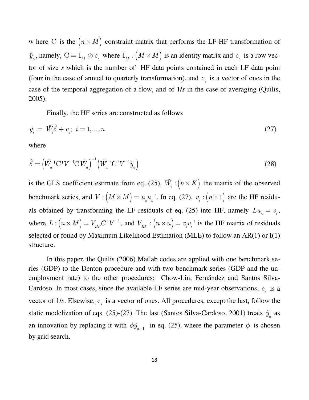w here C is the  $(n \times M)$  constraint matrix that performs the LF-HF transformation of  $\tilde{y}_a$ , namely,  $C = I_M \otimes c_s$  where  $I_M : (M \times M)$  is an identity matrix and  $c_s$  is a row vector of size *s* which is the number of HF data points contained in each LF data point (four in the case of annual to quarterly transformation), and  $c<sub>s</sub>$  is a vector of ones in the case of the temporal aggregation of a flow, and of 1/*s* in the case of averaging (Quilis, 2005).

Finally, the HF series are constructed as follows

$$
\tilde{y}_i = \tilde{W}_i \hat{\delta} + v_i; \ i = 1, \dots, n \tag{27}
$$

where

$$
\hat{\delta} = \left(\tilde{W}_a^{-1} \mathbf{C}^{\dagger} V^{-1} \mathbf{C} \tilde{W}_a\right)^{-1} \left(\tilde{W}_a^{-1} \mathbf{C}^{\dagger} V^{-1} \tilde{y}_a\right)
$$
\n(28)

is the GLS coefficient estimate from eq. (25),  $\tilde{W}_i$  :  $(n \times K)$  the matrix of the observed benchmark series, and  $V : (M \times M) = u_{a} u_{a}$  '. In eq. (27),  $v_{i} : (n \times 1)$  are the HF residuals obtained by transforming the LF residuals of eq. (25) into HF, namely  $Lu_a = v_i$ , where  $L: (n \times M) = V_{HF}C'V^{-1}$ , and  $V_{HF}: (n \times n) = v_{i}v_{i}$  is the HF matrix of residuals selected or found by Maximum Likelihood Estimation (MLE) to follow an AR(1) or I(1) structure.

 In this paper, the Quilis (2006) Matlab codes are applied with one benchmark series (GDP) to the Denton procedure and with two benchmark series (GDP and the unemployment rate) to the other procedures: Chow-Lin, Fernández and Santos Silva-Cardoso. In most cases, since the available LF series are mid-year observations,  $c_s$  is a vector of 1/s. Elsewise, c<sub>s</sub> is a vector of ones. All procedures, except the last, follow the static modelization of eqs. (25)-(27). The last (Santos Silva-Cardoso, 2001) treats  $\tilde{y}_a$  as an innovation by replacing it with  $\phi \tilde{y}_{a-1}$  in eq. (25), where the parameter  $\phi$  is chosen by grid search.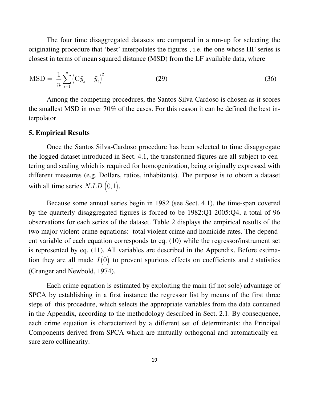The four time disaggregated datasets are compared in a run-up for selecting the originating procedure that 'best' interpolates the figures , i.e. the one whose HF series is closest in terms of mean squared distance (MSD) from the LF available data, where

$$
MSD = \frac{1}{n} \sum_{i=1}^{n} (C\tilde{y}_a - \tilde{y}_i)^2
$$
 (29)

 Among the competing procedures, the Santos Silva-Cardoso is chosen as it scores the smallest MSD in over 70% of the cases. For this reason it can be defined the best interpolator.

#### **5. Empirical Results**

 Once the Santos Silva-Cardoso procedure has been selected to time disaggregate the logged dataset introduced in Sect. 4.1, the transformed figures are all subject to centering and scaling which is required for homogenization, being originally expressed with different measures (e.g. Dollars, ratios, inhabitants). The purpose is to obtain a dataset with all time series  $N.I.D. (0,1)$ .

 Because some annual series begin in 1982 (see Sect. 4.1), the time-span covered by the quarterly disaggregated figures is forced to be 1982:Q1-2005:Q4, a total of 96 observations for each series of the dataset. Table 2 displays the empirical results of the two major violent-crime equations: total violent crime and homicide rates. The dependent variable of each equation corresponds to eq. (10) while the regressor/instrument set is represented by eq. (11). All variables are described in the Appendix. Before estimation they are all made  $I(0)$  to prevent spurious effects on coefficients and *t* statistics (Granger and Newbold, 1974).

 Each crime equation is estimated by exploiting the main (if not sole) advantage of SPCA by establishing in a first instance the regressor list by means of the first three steps of this procedure, which selects the appropriate variables from the data contained in the Appendix, according to the methodology described in Sect. 2.1. By consequence, each crime equation is characterized by a different set of determinants: the Principal Components derived from SPCA which are mutually orthogonal and automatically ensure zero collinearity.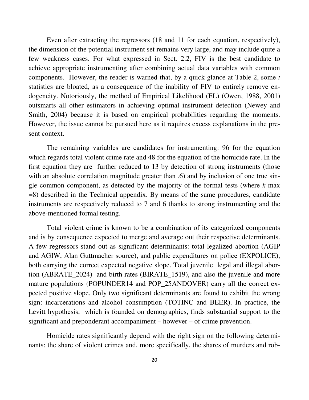Even after extracting the regressors (18 and 11 for each equation, respectively), the dimension of the potential instrument set remains very large, and may include quite a few weakness cases. For what expressed in Sect. 2.2, FIV is the best candidate to achieve appropriate instrumenting after combining actual data variables with common components. However, the reader is warned that, by a quick glance at Table 2, some *t* statistics are bloated, as a consequence of the inability of FIV to entirely remove endogeneity. Notoriously, the method of Empirical Likelihood (EL) (Owen, 1988, 2001) outsmarts all other estimators in achieving optimal instrument detection (Newey and Smith, 2004) because it is based on empirical probabilities regarding the moments. However, the issue cannot be pursued here as it requires excess explanations in the present context.

 The remaining variables are candidates for instrumenting: 96 for the equation which regards total violent crime rate and 48 for the equation of the homicide rate. In the first equation they are further reduced to 13 by detection of strong instruments (those with an absolute correlation magnitude greater than .6) and by inclusion of one true single common component, as detected by the majority of the formal tests (where *k* max =8) described in the Technical appendix. By means of the same procedures, candidate instruments are respectively reduced to 7 and 6 thanks to strong instrumenting and the above-mentioned formal testing.

 Total violent crime is known to be a combination of its categorized components and is by consequence expected to merge and average out their respective determinants. A few regressors stand out as significant determinants: total legalized abortion (AGIP and AGIW, Alan Guttmacher source), and public expenditures on police (EXPOLICE), both carrying the correct expected negative slope. Total juvenile legal and illegal abortion (ABRATE\_2024) and birth rates (BIRATE\_1519), and also the juvenile and more mature populations (POPUNDER14 and POP\_25ANDOVER) carry all the correct expected positive slope. Only two significant determinants are found to exhibit the wrong sign: incarcerations and alcohol consumption (TOTINC and BEER). In practice, the Levitt hypothesis, which is founded on demographics, finds substantial support to the significant and preponderant accompaniment – however – of crime prevention.

 Homicide rates significantly depend with the right sign on the following determinants: the share of violent crimes and, more specifically, the shares of murders and rob-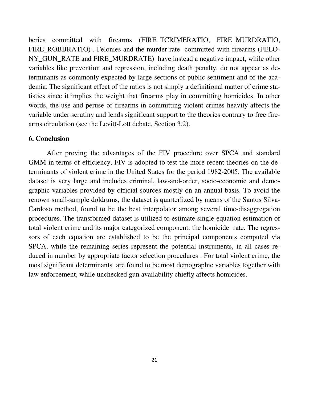beries committed with firearms (FIRE\_TCRIMERATIO, FIRE\_MURDRATIO, FIRE\_ROBBRATIO) . Felonies and the murder rate committed with firearms (FELO-NY\_GUN\_RATE and FIRE\_MURDRATE) have instead a negative impact, while other variables like prevention and repression, including death penalty, do not appear as determinants as commonly expected by large sections of public sentiment and of the academia. The significant effect of the ratios is not simply a definitional matter of crime statistics since it implies the weight that firearms play in committing homicides. In other words, the use and peruse of firearms in committing violent crimes heavily affects the variable under scrutiny and lends significant support to the theories contrary to free firearms circulation (see the Levitt-Lott debate, Section 3.2).

# **6. Conclusion**

 After proving the advantages of the FIV procedure over SPCA and standard GMM in terms of efficiency, FIV is adopted to test the more recent theories on the determinants of violent crime in the United States for the period 1982-2005. The available dataset is very large and includes criminal, law-and-order, socio-economic and demographic variables provided by official sources mostly on an annual basis. To avoid the renown small-sample doldrums, the dataset is quarterlized by means of the Santos Silva-Cardoso method, found to be the best interpolator among several time-disaggregation procedures. The transformed dataset is utilized to estimate single-equation estimation of total violent crime and its major categorized component: the homicide rate. The regressors of each equation are established to be the principal components computed via SPCA, while the remaining series represent the potential instruments, in all cases reduced in number by appropriate factor selection procedures . For total violent crime, the most significant determinants are found to be most demographic variables together with law enforcement, while unchecked gun availability chiefly affects homicides.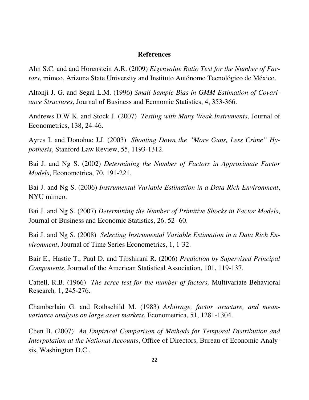#### **References**

Ahn S.C. and and Horenstein A.R. (2009) *Eigenvalue Ratio Test for the Number of Factors*, mimeo, Arizona State University and Instituto Autónomo Tecnológico de México.

Altonji J. G. and Segal L.M. (1996) *Small-Sample Bias in GMM Estimation of Covariance Structures*, Journal of Business and Economic Statistics, 4, 353-366.

Andrews D.W K. and Stock J. (2007) *Testing with Many Weak Instruments*, Journal of Econometrics, 138, 24-46.

Ayres I. and Donohue J.J. (2003) *Shooting Down the "More Guns, Less Crime" Hypothesis*, Stanford Law Review, 55, 1193-1312.

Bai J. and Ng S. (2002) *Determining the Number of Factors in Approximate Factor Models*, Econometrica, 70, 191-221.

Bai J. and Ng S. (2006) *Instrumental Variable Estimation in a Data Rich Environment*, NYU mimeo.

Bai J. and Ng S. (2007) *Determining the Number of Primitive Shocks in Factor Models*, Journal of Business and Economic Statistics, 26, 52- 60.

Bai J. and Ng S. (2008) *Selecting Instrumental Variable Estimation in a Data Rich Environment*, Journal of Time Series Econometrics, 1, 1-32.

Bair E., Hastie T., Paul D. and Tibshirani R. (2006) *Prediction by Supervised Principal Components*, Journal of the American Statistical Association, 101, 119-137.

Cattell, R.B. (1966) *The scree test for the number of factors,* Multivariate Behavioral Research*,* 1, 245-276.

Chamberlain G. and Rothschild M. (1983) *Arbitrage, factor structure, and meanvariance analysis on large asset markets*, Econometrica, 51, 1281-1304.

Chen B. (2007) *An Empirical Comparison of Methods for Temporal Distribution and Interpolation at the National Accounts*, Office of Directors, Bureau of Economic Analysis, Washington D.C..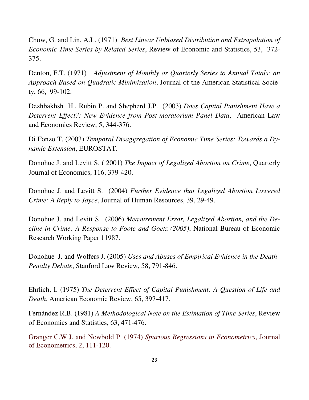Chow, G. and Lin, A.L. (1971) *Best Linear Unbiased Distribution and Extrapolation of Economic Time Series by Related Series*, Review of Economic and Statistics, 53, 372- 375.

Denton, F.T. (1971) *Adjustment of Monthly or Quarterly Series to Annual Totals: an Approach Based on Quadratic Minimization*, Journal of the American Statistical Society, 66, 99-102.

Dezhbakhsh H., Rubin P. and Shepherd J.P. (2003) *Does Capital Punishment Have a Deterrent Effect?: New Evidence from Post-moratorium Panel Data*, American Law and Economics Review, 5, 344-376.

Di Fonzo T. (2003) *Temporal Disaggregation of Economic Time Series: Towards a Dynamic Extension*, EUROSTAT.

Donohue J. and Levitt S. ( 2001) *The Impact of Legalized Abortion on Crime*, Quarterly Journal of Economics, 116, 379-420.

Donohue J. and Levitt S. (2004) *Further Evidence that Legalized Abortion Lowered Crime: A Reply to Joyce*, Journal of Human Resources, 39, 29-49.

Donohue J. and Levitt S. (2006) *Measurement Error, Legalized Abortion, and the Decline in Crime: A Response to Foote and Goetz (2005)*, National Bureau of Economic Research Working Paper 11987.

Donohue J. and Wolfers J. (2005) *Uses and Abuses of Empirical Evidence in the Death Penalty Debate*, Stanford Law Review, 58, 791-846.

Ehrlich, I. (1975) *The Deterrent Effect of Capital Punishment: A Question of Life and Death*, American Economic Review, 65, 397-417.

Fernández R.B. (1981) *A Methodological Note on the Estimation of Time Series*, Review of Economics and Statistics, 63, 471-476.

Granger C.W.J. and Newbold P. (1974) *Spurious Regressions in Econometrics*, Journal of Econometrics, 2, 111-120.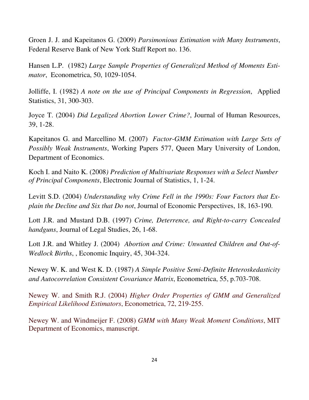Groen J. J. and Kapeitanos G. (2009) *Parsimonious Estimation with Many Instruments*, Federal Reserve Bank of New York Staff Report no. 136.

Hansen L.P. (1982) *Large Sample Properties of Generalized Method of Moments Estimator*, Econometrica, 50, 1029-1054.

Jolliffe, I. (1982) *A note on the use of Principal Components in Regression*, Applied Statistics, 31, 300-303.

Joyce T. (2004) *Did Legalized Abortion Lower Crime?*, Journal of Human Resources, 39, 1-28.

Kapeitanos G. and Marcellino M. (2007) *Factor-GMM Estimation with Large Sets of Possibly Weak Instruments*, Working Papers 577, Queen Mary University of London, Department of Economics.

Koch I. and Naito K. (2008*) Prediction of Multivariate Responses with a Select Number of Principal Components*, Electronic Journal of Statistics, 1, 1-24.

Levitt S.D. (2004) *Understanding why Crime Fell in the 1990s: Four Factors that Explain the Decline and Six that Do not*, Journal of Economic Perspectives, 18, 163-190.

Lott J.R. and Mustard D.B. (1997) *Crime, Deterrence, and Right-to-carry Concealed handguns*, Journal of Legal Studies, 26, 1-68.

Lott J.R. and Whitley J. (2004) *Abortion and Crime: Unwanted Children and Out-of-Wedlock Births*, , Economic Inquiry, 45, 304-324.

Newey W. K. and West K. D. (1987) *A Simple Positive Semi-Definite Heteroskedasticity and Autocorrelation Consistent Covariance Matrix*, Econometrica, 55, p.703-708.

Newey W. and Smith R.J. (2004) *Higher Order Properties of GMM and Generalized Empirical Likelihood Estimators*, Econometrica, 72, 219-255.

Newey W. and Windmeijer F. (2008) *GMM with Many Weak Moment Conditions*, MIT Department of Economics, manuscript.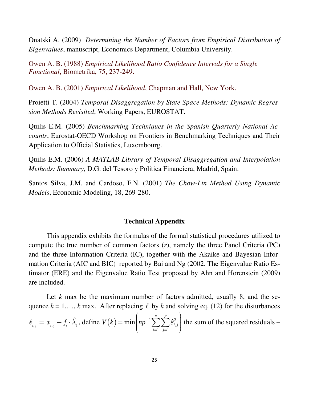Onatski A. (2009) *Determining the Number of Factors from Empirical Distribution of Eigenvalues*, manuscript, Economics Department, Columbia University.

Owen A. B. (1988) *Empirical Likelihood Ratio Confidence Intervals for a Single Functional*, Biometrika, 75, 237-249.

Owen A. B. (2001) *Empirical Likelihood*, Chapman and Hall, New York.

Proietti T. (2004) *Temporal Disaggregation by State Space Methods: Dynamic Regression Methods Revisited*, Working Papers, EUROSTAT.

Quilis E.M. (2005) *Benchmarking Techniques in the Spanish Quarterly National Accounts*, Eurostat-OECD Workshop on Frontiers in Benchmarking Techniques and Their Application to Official Statistics, Luxembourg.

Quilis E.M. (2006) *A MATLAB Library of Temporal Disaggregation and Interpolation Methods: Summary*, D.G. del Tesoro y Política Financiera, Madrid, Spain.

Santos Silva, J.M. and Cardoso, F.N. (2001) *The Chow-Lin Method Using Dynamic Models*, Economic Modeling, 18, 269-280.

# **Technical Appendix**

 This appendix exhibits the formulas of the formal statistical procedures utilized to compute the true number of common factors (*r*), namely the three Panel Criteria (PC) and the three Information Criteria (IC), together with the Akaike and Bayesian Information Criteria (AIC and BIC) reported by Bai and Ng (2002. The Eigenvalue Ratio Estimator (ERE) and the Eigenvalue Ratio Test proposed by Ahn and Horenstein (2009) are included.

Let *k* max be the maximum number of factors admitted, usually 8, and the sequence  $k = 1,..., k$  max. After replacing  $\ell$  by  $k$  and solving eq. (12) for the disturbances  $\hat{e}_{i,j} = x_{i,j} - f_i \cdot \hat{\lambda}_k$ , define  $V(k) = \min \left[ np^{-1} \sum \sum \hat{\epsilon}_{i,j}^2 \right]$  $-1$   $j=1$  $\min\{np^{-1}\}\sum\}$ *n p i j i j*  $V(k) = \min \left[ np^{-1} \sum \sum \hat{\varepsilon}$  $=1$  j=1  $= \min \left( np^{-1} \sum_{i=1}^{n} \sum_{j=1}^{p} \hat{\epsilon}_{i,j}^{2} \right)$  the sum of the squared residuals –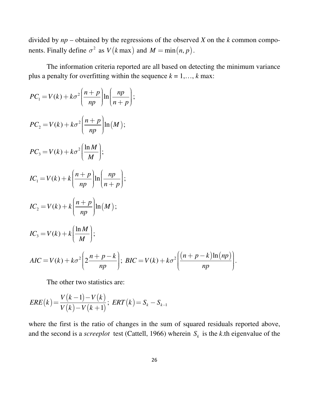divided by *np* – obtained by the regressions of the observed *X* on the *k* common components. Finally define  $\sigma^2$  as  $V(k \max)$  and  $M = \min(n, p)$ .

 The information criteria reported are all based on detecting the minimum variance plus a penalty for overfitting within the sequence  $k = 1, \ldots, k$  max:

$$
PC_{1} = V(k) + k\sigma^{2} \left(\frac{n+p}{np}\right) \ln\left(\frac{np}{n+p}\right);
$$
  
\n
$$
PC_{2} = V(k) + k\sigma^{2} \left(\frac{n+p}{np}\right) \ln(M);
$$
  
\n
$$
PC_{3} = V(k) + k\sigma^{2} \left(\frac{\ln M}{M}\right);
$$
  
\n
$$
IC_{1} = V(k) + k \left(\frac{n+p}{np}\right) \ln\left(\frac{np}{n+p}\right);
$$
  
\n
$$
IC_{2} = V(k) + k \left(\frac{n+p}{np}\right) \ln(M);
$$
  
\n
$$
IC_{3} = V(k) + k \left(\frac{\ln M}{M}\right);
$$
  
\n
$$
AIC = V(k) + k\sigma^{2} \left(2\frac{n+p-k}{np}\right); \, BIC = V(k) + k\sigma^{2} \left(\frac{(n+p-k)\ln(np)}{np}\right).
$$

The other two statistics are:

$$
ERE(k) = \frac{V(k-1) - V(k)}{V(k) - V(k+1)}; \text{ ERT}(k) = S_k - S_{k-1}
$$

where the first is the ratio of changes in the sum of squared residuals reported above, and the second is a *screeplot* test (Cattell, 1966) wherein  $S_k$  is the *k*.th eigenvalue of the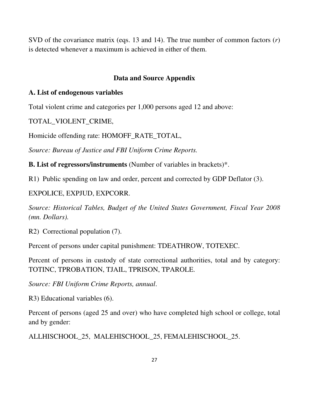SVD of the covariance matrix (eqs. 13 and 14). The true number of common factors (*r*) is detected whenever a maximum is achieved in either of them.

# **Data and Source Appendix**

# **A. List of endogenous variables**

Total violent crime and categories per 1,000 persons aged 12 and above:

TOTAL\_VIOLENT\_CRIME,

Homicide offending rate: HOMOFF\_RATE\_TOTAL,

*Source: Bureau of Justice and FBI Uniform Crime Reports.* 

**B. List of regressors/instruments** (Number of variables in brackets)\*.

R1) Public spending on law and order, percent and corrected by GDP Deflator (3).

# EXPOLICE, EXPJUD, EXPCORR.

*Source: Historical Tables, Budget of the United States Government, Fiscal Year 2008 (mn. Dollars).* 

R2) Correctional population (7).

Percent of persons under capital punishment: TDEATHROW, TOTEXEC.

Percent of persons in custody of state correctional authorities, total and by category: TOTINC, TPROBATION, TJAIL, TPRISON, TPAROLE.

*Source: FBI Uniform Crime Reports, annual*.

R3) Educational variables (6).

Percent of persons (aged 25 and over) who have completed high school or college, total and by gender:

ALLHISCHOOL\_25, MALEHISCHOOL\_25, FEMALEHISCHOOL\_25.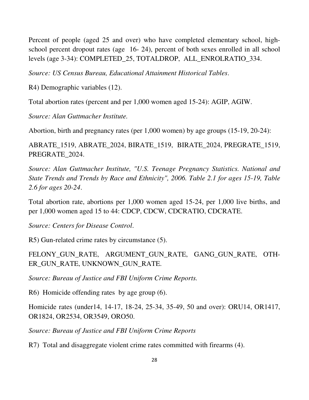Percent of people (aged 25 and over) who have completed elementary school, highschool percent dropout rates (age 16- 24), percent of both sexes enrolled in all school levels (age 3-34): COMPLETED\_25, TOTALDROP, ALL\_ENROLRATIO\_334.

*Source: US Census Bureau, Educational Attainment Historical Tables*.

R4) Demographic variables (12).

Total abortion rates (percent and per 1,000 women aged 15-24): AGIP, AGIW.

*Source: Alan Guttmacher Institute.* 

Abortion, birth and pregnancy rates (per 1,000 women) by age groups (15-19, 20-24):

ABRATE\_1519, ABRATE\_2024, BIRATE\_1519, BIRATE\_2024, PREGRATE\_1519, PREGRATE\_2024.

*Source: Alan Guttmacher Institute, "U.S. Teenage Pregnancy Statistics. National and State Trends and Trends by Race and Ethnicity", 2006. Table 2.1 for ages 15-19, Table 2.6 for ages 20-24*.

Total abortion rate, abortions per 1,000 women aged 15-24, per 1,000 live births, and per 1,000 women aged 15 to 44: CDCP, CDCW, CDCRATIO, CDCRATE.

*Source: Centers for Disease Control*.

R5) Gun-related crime rates by circumstance (5).

FELONY\_GUN\_RATE, ARGUMENT\_GUN\_RATE, GANG\_GUN\_RATE, OTH-ER\_GUN\_RATE, UNKNOWN\_GUN\_RATE.

*Source: Bureau of Justice and FBI Uniform Crime Reports.*

R6) Homicide offending rates by age group (6).

Homicide rates (under14, 14-17, 18-24, 25-34, 35-49, 50 and over): ORU14, OR1417, OR1824, OR2534, OR3549, ORO50.

*Source: Bureau of Justice and FBI Uniform Crime Reports*

R7) Total and disaggregate violent crime rates committed with firearms (4).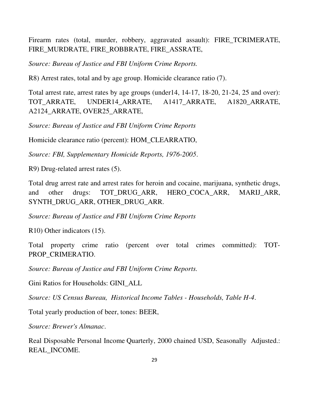Firearm rates (total, murder, robbery, aggravated assault): FIRE\_TCRIMERATE, FIRE\_MURDRATE, FIRE\_ROBBRATE, FIRE\_ASSRATE,

*Source: Bureau of Justice and FBI Uniform Crime Reports.*

R8) Arrest rates, total and by age group. Homicide clearance ratio (7).

Total arrest rate, arrest rates by age groups (under14, 14-17, 18-20, 21-24, 25 and over): TOT ARRATE, UNDER14 ARRATE, A1417 ARRATE, A1820 ARRATE, A2124\_ARRATE, OVER25\_ARRATE,

*Source: Bureau of Justice and FBI Uniform Crime Reports*

Homicide clearance ratio (percent): HOM\_CLEARRATIO,

*Source: FBI, Supplementary Homicide Reports, 1976-2005*.

R9) Drug-related arrest rates (5).

Total drug arrest rate and arrest rates for heroin and cocaine, marijuana, synthetic drugs, and other drugs: TOT\_DRUG\_ARR, HERO\_COCA\_ARR, MARIJ\_ARR, SYNTH\_DRUG\_ARR, OTHER\_DRUG\_ARR.

*Source: Bureau of Justice and FBI Uniform Crime Reports*

R10) Other indicators (15).

Total property crime ratio (percent over total crimes committed): TOT-PROP\_CRIMERATIO.

*Source: Bureau of Justice and FBI Uniform Crime Reports.*

Gini Ratios for Households: GINI\_ALL

*Source: US Census Bureau, Historical Income Tables - Households, Table H-4*.

Total yearly production of beer, tones: BEER,

*Source: Brewer's Almanac*.

Real Disposable Personal Income Quarterly, 2000 chained USD, Seasonally Adjusted.: REAL\_INCOME.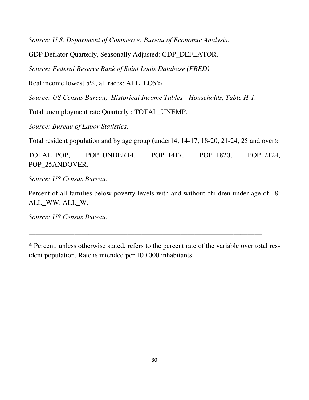*Source: U.S. Department of Commerce: Bureau of Economic Analysis*.

GDP Deflator Quarterly, Seasonally Adjusted: GDP\_DEFLATOR.

*Source: Federal Reserve Bank of Saint Louis Database (FRED).* 

Real income lowest 5%, all races: ALL\_LO5%.

*Source: US Census Bureau, Historical Income Tables - Households, Table H-1.*

Total unemployment rate Quarterly : TOTAL\_UNEMP.

*Source: Bureau of Labor Statistics*.

Total resident population and by age group (under14, 14-17, 18-20, 21-24, 25 and over):

TOTAL\_POP, POP\_UNDER14, POP\_1417, POP\_1820, POP\_2124, POP\_25ANDOVER.

*Source: US Census Bureau*.

Percent of all families below poverty levels with and without children under age of 18: ALL\_WW, ALL\_W.

*Source: US Census Bureau*.

\_\_\_\_\_\_\_\_\_\_\_\_\_\_\_\_\_\_\_\_\_\_\_\_\_\_\_\_\_\_\_\_\_\_\_\_\_\_\_\_\_\_\_\_\_\_\_\_\_\_\_\_\_\_\_\_\_\_\_\_\_\_\_\_\_\_

<sup>\*</sup> Percent, unless otherwise stated, refers to the percent rate of the variable over total resident population. Rate is intended per 100,000 inhabitants.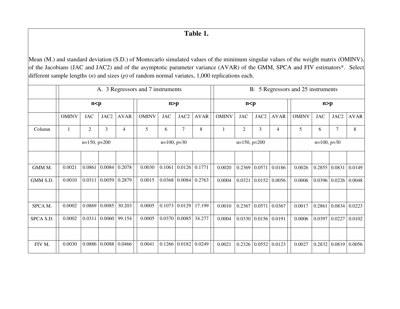# **Table 1.**

Mean (M.) and standard deviation (S.D.) of Montecarlo simulated values of the minimum singular values of the weight matrix (OMINV), of the Jacobians (JAC and JAC2) and of the asymptotic parameter variance (AVAR) of the GMM, SPCA and FIV estimators\*. Select different sample lengths (*n*) and sizes (*p*) of random normal variates, 1,000 replications each.

|           | A. 3 Regressors and 7 instruments |                |                |                 |              |                  |                 |             |              | B. 5 Regressors and 25 instruments |                           |                |              |                 |                                  |             |  |  |  |
|-----------|-----------------------------------|----------------|----------------|-----------------|--------------|------------------|-----------------|-------------|--------------|------------------------------------|---------------------------|----------------|--------------|-----------------|----------------------------------|-------------|--|--|--|
|           |                                   | n < p          |                |                 |              | n > p            |                 |             | n < p        |                                    |                           |                | n > p        |                 |                                  |             |  |  |  |
|           | <b>OMINV</b>                      | <b>JAC</b>     | JAC2           | <b>AVAR</b>     | <b>OMINV</b> | <b>JAC</b>       | JAC2            | <b>AVAR</b> | <b>OMINV</b> | <b>JAC</b>                         | JAC2                      | <b>AVAR</b>    | <b>OMINV</b> | <b>JAC</b>      | JAC2                             | <b>AVAR</b> |  |  |  |
| Column    |                                   | $\overline{2}$ | $\overline{3}$ | 4               | 5            | 6                | $\overline{7}$  | 8           |              | $\overline{2}$                     | $\overline{3}$            | $\overline{4}$ | 5            | 6               | 7                                | 8           |  |  |  |
|           |                                   | $n=150, p=200$ |                |                 |              | $n=100$ , $p=30$ |                 |             |              | $n=150, p=200$                     |                           |                |              | $n=100, p=30$   |                                  |             |  |  |  |
|           |                                   |                |                |                 |              |                  |                 |             |              |                                    |                           |                |              |                 |                                  |             |  |  |  |
| GMM M.    | 0.0021                            | 0.0861         | 0.0084         | 0.2078          | 0.0030       |                  | $0.1061$ 0.0126 | 0.1771      | 0.0020       |                                    | $0.2369$ 0.0571           | 0.0186         | 0.0026       | 0.2855 0.0831   |                                  | 0.0149      |  |  |  |
| GMM S.D.  | 0.0010                            | 0.0311         |                | $0.0059$ 0.2879 | 0.0015       |                  | $0.0368$ 0.0084 | 0.2763      | 0.0004       | 0.0321                             | 0.0152                    | 0.0056         | 0.0006       |                 | $0.0396 \mid 0.0226 \mid 0.0048$ |             |  |  |  |
|           |                                   |                |                |                 |              |                  |                 |             |              |                                    |                           |                |              |                 |                                  |             |  |  |  |
| SPCA M.   | 0.0002                            | 0.0869         | 0.0085         | 30.203          | 0.0005       |                  | $0.1073$ 0.0129 | 17.199      | 0.0010       | 0.2367                             | 0.0571                    | 0.0367         | 0.0017       | 0.2861          | 0.0834                           | 0.0223      |  |  |  |
| SPCA S.D. | 0.0002                            | 0.0311         |                | 0.0060 99.154   | 0.0005       |                  | 0.0370 0.0085   | 34.277      | 0.0004       |                                    | $0.0330 \mid 0.0156 \mid$ | 0.0191         | 0.0006       | $0.0397$ 0.0227 |                                  | 0.0102      |  |  |  |
|           |                                   |                |                |                 |              |                  |                 |             |              |                                    |                           |                |              |                 |                                  |             |  |  |  |
| FIV M.    | 0.0030                            | 0.0886         | 0.0088         | 0.0466          | 0.0041       |                  | 0.1266 0.0182   | 0.0249      | 0.0021       |                                    | 0.2326 0.0552             | 0.0123         | 0.0027       | 0.2832          | 0.0819                           | 0.0056      |  |  |  |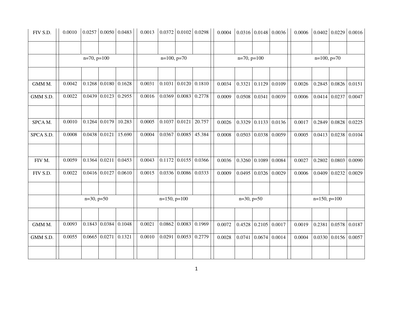| FIV S.D.  |        |                      |                                  | $0.0010$ $\big  0.0257 \big  0.0050 \big  0.0483 \big $ | $0.0013$ $\big  0.0372 \big  0.0102 \big  0.0298 \big $ |                 |                                          |        |        |               |                                          | $0.0004 \mid 0.0316 \mid 0.0148 \mid 0.0036 \mid$ | $0.0006$ $\big  0.0402 \big  0.0229 \big  0.0016$ |                   |                                  |  |
|-----------|--------|----------------------|----------------------------------|---------------------------------------------------------|---------------------------------------------------------|-----------------|------------------------------------------|--------|--------|---------------|------------------------------------------|---------------------------------------------------|---------------------------------------------------|-------------------|----------------------------------|--|
|           |        | $n=70, p=100$        |                                  |                                                         |                                                         | $n=100, p=70$   |                                          |        |        | $n=70, p=100$ |                                          |                                                   |                                                   | $n=100$ , $p=70$  |                                  |  |
| GMM M.    | 0.0042 |                      | $0.1268$ 0.0180 0.1628           |                                                         | 0.0031                                                  |                 | $0.1031 \mid 0.0120 \mid 0.1810$         |        | 0.0034 |               | $0.3321 \mid 0.1129 \mid 0.0109$         |                                                   | 0.0026                                            |                   | $0.2845 \mid 0.0826 \mid 0.0151$ |  |
| GMM S.D.  | 0.0022 |                      | $0.0439 \mid 0.0123 \mid 0.2955$ |                                                         | 0.0016                                                  |                 | $0.0369 \mid 0.0083 \mid 0.2778$         |        | 0.0009 |               | $0.0508$ 0.0341 0.0039                   |                                                   | 0.0006                                            |                   | $0.0414 \mid 0.0237 \mid 0.0047$ |  |
| SPCA M.   | 0.0010 |                      | $0.1264$ 0.0179 10.283           |                                                         | 0.0005                                                  | $0.1037$ 0.0121 |                                          | 20.757 | 0.0026 | 0.3329        |                                          | $0.1133 \mid 0.0136$                              | 0.0017                                            | 0.2849            | $0.0828$ 0.0225                  |  |
| SPCA S.D. | 0.0008 | $0.0438 \mid 0.0121$ |                                  | 15.690                                                  | 0.0004                                                  |                 | 0.0367 0.0085                            | 45.384 | 0.0008 |               | $0.0503 \mid 0.0338 \mid 0.0059$         |                                                   | 0.0005                                            | 0.0413            | $0.0238$ 0.0104                  |  |
| FIV M.    | 0.0059 |                      | $0.1364 \mid 0.0211$             | 0.0453                                                  | 0.0043                                                  |                 | $0.1172$ 0.0155 0.0366                   |        | 0.0036 |               | $\vert 0.3260 \vert 0.1089 \vert 0.0084$ |                                                   | 0.0027                                            |                   | $0.2802 \mid 0.0803 \mid 0.0090$ |  |
| FIV S.D.  | 0.0022 |                      | $0.0416$ 0.0127 0.0610           |                                                         | 0.0015                                                  |                 | $0.0336 \mid 0.0086 \mid 0.0333$         |        | 0.0009 | 0.0495        | $0.0326$ 0.0029                          |                                                   | 0.0006                                            | 0.0409            | 0.0232   0.0029                  |  |
|           |        | $n=30, p=50$         |                                  |                                                         |                                                         | $n=150, p=100$  |                                          |        |        | $n=30, p=50$  |                                          |                                                   |                                                   | $n=150$ , $p=100$ |                                  |  |
| GMM M.    | 0.0093 |                      | $0.1843 \mid 0.0384 \mid 0.1048$ |                                                         | 0.0021                                                  |                 | $0.0862 \mid 0.0083 \mid 0.1969$         |        | 0.0072 |               | $0.4528$ 0.2105 0.0017                   |                                                   | 0.0019                                            | 0.2381            | 0.0578 0.0187                    |  |
| GMM S.D.  | 0.0055 |                      | $0.0665$ $0.0271$ $0.1321$       |                                                         | 0.0010                                                  |                 | $\vert 0.0291 \vert 0.0053 \vert 0.2779$ |        | 0.0028 | 0.0741        | $0.0674 \mid 0.0014$                     |                                                   | 0.0004                                            |                   | 0.0330   0.0156   0.0057         |  |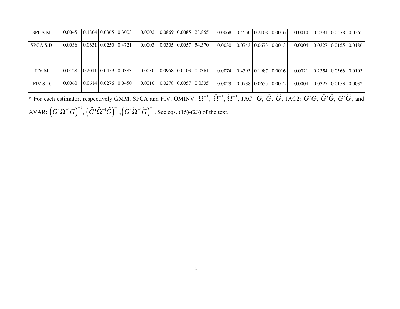| SPCA M.                                                                                                                                                                                                                                                                                        | 0.0045 |  |                                            | $\vert 0.1804 \vert 0.0365 \vert 0.3003 \vert$ |        |  |                           | $0.0002$   0.0869   0.0085   28.855          | $0.0068$ $\vert$ 0.4530 $\vert$ 0.2108 $\vert$ 0.0016 |  |                                            |                                                | $0.0010$   0.2381   0.0578   0.0365 |  |                                                |
|------------------------------------------------------------------------------------------------------------------------------------------------------------------------------------------------------------------------------------------------------------------------------------------------|--------|--|--------------------------------------------|------------------------------------------------|--------|--|---------------------------|----------------------------------------------|-------------------------------------------------------|--|--------------------------------------------|------------------------------------------------|-------------------------------------|--|------------------------------------------------|
| SPCA S.D.                                                                                                                                                                                                                                                                                      | 0.0036 |  | $\mid 0.0631 \mid 0.0250 \mid 0.4721 \mid$ |                                                | 0.0003 |  | $0.0305 \mid 0.0057 \mid$ | 54.370                                       | 0.0030                                                |  | $\mid 0.0743 \mid 0.0673 \mid 0.0013 \mid$ |                                                | 0.0004                              |  | $\mid 0.0327 \mid 0.0155 \mid 0.0186 \mid$     |
|                                                                                                                                                                                                                                                                                                |        |  |                                            |                                                |        |  |                           |                                              |                                                       |  |                                            |                                                |                                     |  |                                                |
| FIV M.                                                                                                                                                                                                                                                                                         | 0.0128 |  | $0.2011 \mid 0.0459 \mid 0.0383$           |                                                |        |  |                           | $0.0030 \mid 0.0958 \mid 0.0103 \mid 0.0361$ | 0.0074                                                |  |                                            | $\vert 0.4393 \vert 0.1987 \vert 0.0016 \vert$ | 0.0021                              |  | $\mid 0.2354 \mid 0.0566 \mid 0.0103 \mid$     |
| FIV S.D.                                                                                                                                                                                                                                                                                       | 0.0060 |  |                                            | $0.0614$ $0.0276$ $0.0450$                     |        |  |                           | $0.0010$   0.0278   0.0057   0.0335          | 0.0029                                                |  |                                            | $\mid 0.0738 \mid 0.0655 \mid 0.0012 \mid$     | 0.0004                              |  | $\vert 0.0327 \vert 0.0153 \vert 0.0032 \vert$ |
| <sup>*</sup> For each estimator, respectively GMM, SPCA and FIV, OMINV: $\Omega^{-1}$ , $\Omega^{-1}$ , $\Omega^{-1}$ , JAC: G, G, G, JAC2: G'G, $\hat{G}$ , $\hat{G}$ , $\hat{G}$ , $\hat{G}$ , $\hat{G}$ , $\hat{G}$ , $\hat{G}$ , $\hat{G}$ , $\hat{G}$ , $\hat{G}$ , $\hat{G}$ , $\hat{G}$ |        |  |                                            |                                                |        |  |                           |                                              |                                                       |  |                                            |                                                |                                     |  |                                                |
| $AXAR: (G'\Omega^{-1}G)^{-1}, (\hat{G}'\Omega^{-1}\hat{G})^{-1}, (\check{G}'\check{\Omega}^{-1}\check{G})^{-1}$ . See eqs. (15)-(23) of the text.                                                                                                                                              |        |  |                                            |                                                |        |  |                           |                                              |                                                       |  |                                            |                                                |                                     |  |                                                |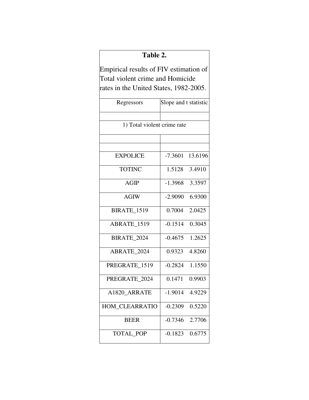# **Table 2.**

Empirical results of FIV estimation of Total violent crime and Homicide rates in the United States, 1982-2005.

| Regressors                  | Slope and t statistic |         |
|-----------------------------|-----------------------|---------|
|                             |                       |         |
| 1) Total violent crime rate |                       |         |
|                             |                       |         |
|                             |                       |         |
| <b>EXPOLICE</b>             | $-7.3601$             | 13.6196 |
| <b>TOTINC</b>               | 1.5128                | 3.4910  |
| <b>AGIP</b>                 | $-1.3968$             | 3.3597  |
| <b>AGIW</b>                 | $-2.9090$             | 6.9300  |
| <b>BIRATE_1519</b>          | 0.7004                | 2.0425  |
| ABRATE_1519                 | $-0.1514$             | 0.3045  |
| BIRATE_2024                 | $-0.4675$             | 1.2625  |
| <b>ABRATE 2024</b>          | 0.9323                | 4.8260  |
| PREGRATE 1519               | $-0.2824$             | 1.1550  |
| PREGRATE 2024               | 0.1471                | 0.9903  |
| A1820 ARRATE                | $-1.9014$             | 4.9229  |
| HOM_CLEARRATIO              | $-0.2309$             | 0.5220  |
| <b>BEER</b>                 | $-0.7346$             | 2.7706  |
| TOTAL_POP                   | $-0.1823$             | 0.6775  |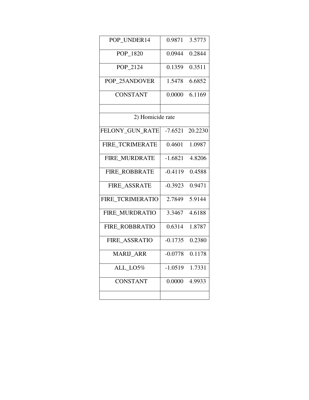| POP_UNDER14          | 0.9871    | 3.5773  |
|----------------------|-----------|---------|
| POP_1820             | 0.0944    | 0.2844  |
| POP_2124             | 0.1359    | 0.3511  |
| POP 25ANDOVER        | 1.5478    | 6.6852  |
| <b>CONSTANT</b>      | 0.0000    | 6.1169  |
|                      |           |         |
| 2) Homicide rate     |           |         |
| FELONY_GUN_RATE      | $-7.6521$ | 20.2230 |
| FIRE TCRIMERATE      | 0.4601    | 1.0987  |
| FIRE MURDRATE        | $-1.6821$ | 4.8206  |
| <b>FIRE ROBBRATE</b> | $-0.4119$ | 0.4588  |
| FIRE_ASSRATE         | $-0.3923$ | 0.9471  |
| FIRE_TCRIMERATIO     | 2.7849    | 5.9144  |
| FIRE MURDRATIO       | 3.3467    | 4.6188  |
| FIRE_ROBBRATIO       | 0.6314    | 1.8787  |
| FIRE ASSRATIO        | $-0.1735$ | 0.2380  |
| <b>MARIJ ARR</b>     | $-0.0778$ | 0.1178  |
| ALL_LO5%             | $-1.0519$ | 1.7331  |
| <b>CONSTANT</b>      | 0.0000    | 4.9933  |
|                      |           |         |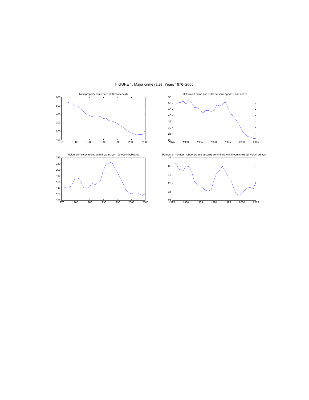

FIGURE 1. Major crime rates. Years 1976−2005.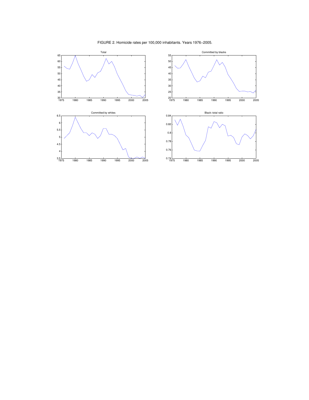

FIGURE 2. Homicide rates per 100,000 inhabitants. Years 1976−2005.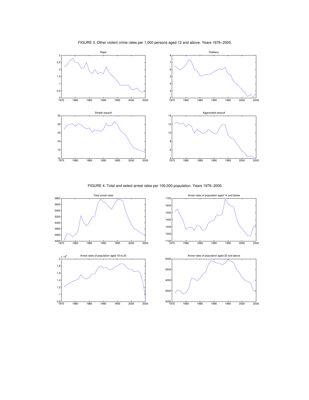

FIGURE 3. Other violent crime rates per 1,000 persons aged 12 and above. Years 1976−2005.

FIGURE 4. Total and select arrest rates per 100,000 population. Years 1976−2005.

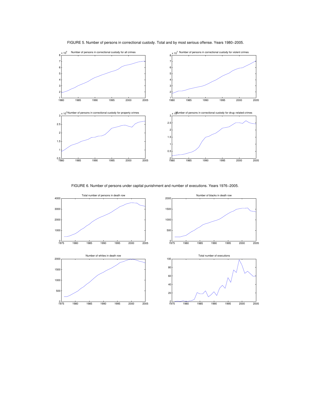

FIGURE 5. Number of persons in correctional custody. Total and by most serious offense. Years 1980−2005.

FIGURE 6. Number of persons under capital punishment and number of executions. Years 1976−2005.